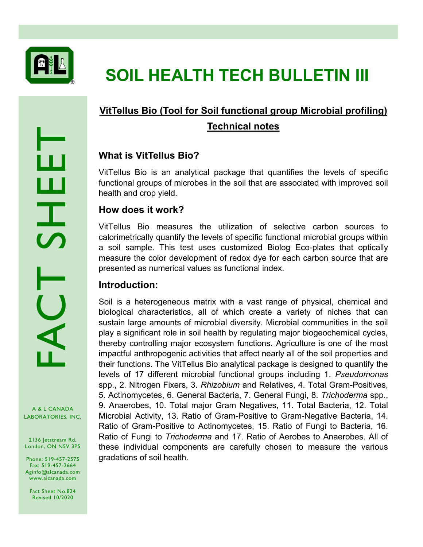

# **SOIL HEALTH TECH BULLETIN III**

## **VitTellus Bio (Tool for Soil functional group Microbial profiling) Technical notes**

## **What is VitTellus Bio?**

VitTellus Bio is an analytical package that quantifies the levels of specific functional groups of microbes in the soil that are associated with improved soil health and crop yield.

## **How does it work?**

VitTellus Bio measures the utilization of selective carbon sources to calorimetrically quantify the levels of specific functional microbial groups within a soil sample. This test uses customized Biolog Eco-plates that optically measure the color development of redox dye for each carbon source that are presented as numerical values as functional index.

## **Introduction:**

Soil is a heterogeneous matrix with a vast range of physical, chemical and biological characteristics, all of which create a variety of niches that can sustain large amounts of microbial diversity. Microbial communities in the soil play a significant role in soil health by regulating major biogeochemical cycles, thereby controlling major ecosystem functions. Agriculture is one of the most impactful anthropogenic activities that affect nearly all of the soil properties and their functions. The VitTellus Bio analytical package is designed to quantify the levels of 17 different microbial functional groups including 1. *Pseudomonas*  spp., 2. Nitrogen Fixers, 3. *Rhizobium* and Relatives, 4. Total Gram-Positives, 5. Actinomycetes, 6. General Bacteria, 7. General Fungi, 8. *Trichoderma* spp., 9. Anaerobes, 10. Total major Gram Negatives, 11. Total Bacteria, 12. Total Microbial Activity, 13. Ratio of Gram-Positive to Gram-Negative Bacteria, 14. Ratio of Gram-Positive to Actinomycetes, 15. Ratio of Fungi to Bacteria, 16. Ratio of Fungi to *Trichoderma* and 17. Ratio of Aerobes to Anaerobes. All of these individual components are carefully chosen to measure the various gradations of soil health.

A & L CANADA

2136 Jetstream Rd. London, ON N5V 3P5

Phone: 519-457-2575 Fax: 519-457-2664 Aginfo@alcanada.com www.alcanada.com

Fact Sheet No.824 Revised 10/2020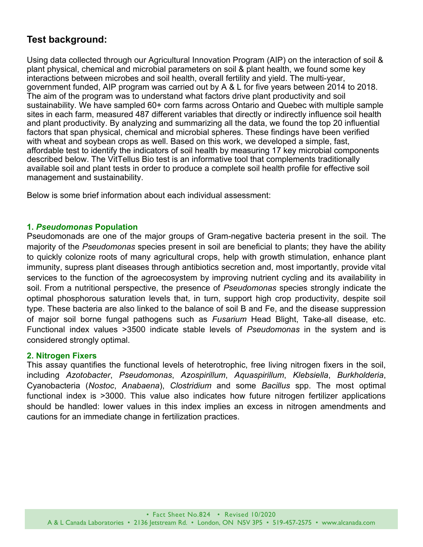## **Test background:**

Using data collected through our Agricultural Innovation Program (AIP) on the interaction of soil & plant physical, chemical and microbial parameters on soil & plant health, we found some key interactions between microbes and soil health, overall fertility and yield. The multi-year, government funded, AIP program was carried out by A & L for five years between 2014 to 2018. The aim of the program was to understand what factors drive plant productivity and soil sustainability. We have sampled 60+ corn farms across Ontario and Quebec with multiple sample sites in each farm, measured 487 different variables that directly or indirectly influence soil health and plant productivity. By analyzing and summarizing all the data, we found the top 20 influential factors that span physical, chemical and microbial spheres. These findings have been verified with wheat and soybean crops as well. Based on this work, we developed a simple, fast, affordable test to identify the indicators of soil health by measuring 17 key microbial components described below. The VitTellus Bio test is an informative tool that complements traditionally available soil and plant tests in order to produce a complete soil health profile for effective soil management and sustainability.

Below is some brief information about each individual assessment:

#### **1.** *Pseudomonas* **Population**

Pseudomonads are one of the major groups of Gram-negative bacteria present in the soil. The majority of the *Pseudomonas* species present in soil are beneficial to plants; they have the ability to quickly colonize roots of many agricultural crops, help with growth stimulation, enhance plant immunity, supress plant diseases through antibiotics secretion and, most importantly, provide vital services to the function of the agroecosystem by improving nutrient cycling and its availability in soil. From a nutritional perspective, the presence of *Pseudomonas* species strongly indicate the optimal phosphorous saturation levels that, in turn, support high crop productivity, despite soil type. These bacteria are also linked to the balance of soil B and Fe, and the disease suppression of major soil borne fungal pathogens such as *Fusarium* Head Blight, Take-all disease, etc. Functional index values >3500 indicate stable levels of *Pseudomonas* in the system and is considered strongly optimal.

#### **2. Nitrogen Fixers**

This assay quantifies the functional levels of heterotrophic, free living nitrogen fixers in the soil, including *Azotobacter*, *Pseudomonas*, *Azospirillum*, *Aquaspirillum*, *Klebsiella*, *Burkholderia*, Cyanobacteria (*Nostoc*, *Anabaena*), *Clostridium* and some *Bacillus* spp. The most optimal functional index is >3000. This value also indicates how future nitrogen fertilizer applications should be handled: lower values in this index implies an excess in nitrogen amendments and cautions for an immediate change in fertilization practices.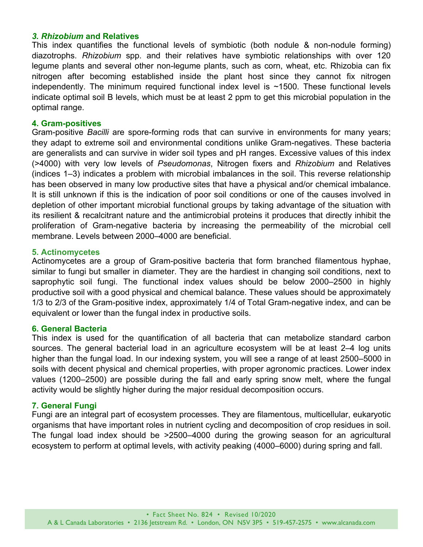#### *3. Rhizobium* **and Relatives**

This index quantifies the functional levels of symbiotic (both nodule & non-nodule forming) diazotrophs. *Rhizobium* spp. and their relatives have symbiotic relationships with over 120 legume plants and several other non-legume plants, such as corn, wheat, etc. Rhizobia can fix nitrogen after becoming established inside the plant host since they cannot fix nitrogen independently. The minimum required functional index level is  $\sim$ 1500. These functional levels indicate optimal soil B levels, which must be at least 2 ppm to get this microbial population in the optimal range.

#### **4. Gram-positives**

Gram-positive *Bacilli* are spore-forming rods that can survive in environments for many years; they adapt to extreme soil and environmental conditions unlike Gram-negatives. These bacteria are generalists and can survive in wider soil types and pH ranges. Excessive values of this index (>4000) with very low levels of *Pseudomonas*, Nitrogen fixers and *Rhizobium* and Relatives (indices 1–3) indicates a problem with microbial imbalances in the soil. This reverse relationship has been observed in many low productive sites that have a physical and/or chemical imbalance. It is still unknown if this is the indication of poor soil conditions or one of the causes involved in depletion of other important microbial functional groups by taking advantage of the situation with its resilient & recalcitrant nature and the antimicrobial proteins it produces that directly inhibit the proliferation of Gram-negative bacteria by increasing the permeability of the microbial cell membrane. Levels between 2000–4000 are beneficial.

#### **5. Actinomycetes**

Actinomycetes are a group of Gram-positive bacteria that form branched filamentous hyphae, similar to fungi but smaller in diameter. They are the hardiest in changing soil conditions, next to saprophytic soil fungi. The functional index values should be below 2000–2500 in highly productive soil with a good physical and chemical balance. These values should be approximately 1/3 to 2/3 of the Gram-positive index, approximately 1/4 of Total Gram-negative index, and can be equivalent or lower than the fungal index in productive soils.

#### **6. General Bacteria**

This index is used for the quantification of all bacteria that can metabolize standard carbon sources. The general bacterial load in an agriculture ecosystem will be at least 2–4 log units higher than the fungal load. In our indexing system, you will see a range of at least 2500–5000 in soils with decent physical and chemical properties, with proper agronomic practices. Lower index values (1200–2500) are possible during the fall and early spring snow melt, where the fungal activity would be slightly higher during the major residual decomposition occurs.

#### **7. General Fungi**

Fungi are an integral part of ecosystem processes. They are filamentous, multicellular, eukaryotic organisms that have important roles in nutrient cycling and decomposition of crop residues in soil. The fungal load index should be >2500–4000 during the growing season for an agricultural ecosystem to perform at optimal levels, with activity peaking (4000–6000) during spring and fall.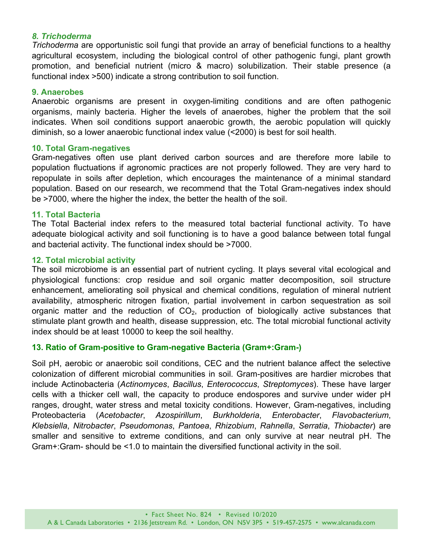#### *8. Trichoderma*

*Trichoderma* are opportunistic soil fungi that provide an array of beneficial functions to a healthy agricultural ecosystem, including the biological control of other pathogenic fungi, plant growth promotion, and beneficial nutrient (micro & macro) solubilization. Their stable presence (a functional index >500) indicate a strong contribution to soil function.

#### **9. Anaerobes**

Anaerobic organisms are present in oxygen-limiting conditions and are often pathogenic organisms, mainly bacteria. Higher the levels of anaerobes, higher the problem that the soil indicates. When soil conditions support anaerobic growth, the aerobic population will quickly diminish, so a lower anaerobic functional index value (<2000) is best for soil health.

#### **10. Total Gram-negatives**

Gram-negatives often use plant derived carbon sources and are therefore more labile to population fluctuations if agronomic practices are not properly followed. They are very hard to repopulate in soils after depletion, which encourages the maintenance of a minimal standard population. Based on our research, we recommend that the Total Gram-negatives index should be >7000, where the higher the index, the better the health of the soil.

#### **11. Total Bacteria**

The Total Bacterial index refers to the measured total bacterial functional activity. To have adequate biological activity and soil functioning is to have a good balance between total fungal and bacterial activity. The functional index should be >7000.

#### **12. Total microbial activity**

The soil microbiome is an essential part of nutrient cycling. It plays several vital ecological and physiological functions: crop residue and soil organic matter decomposition, soil structure enhancement, ameliorating soil physical and chemical conditions, regulation of mineral nutrient availability, atmospheric nitrogen fixation, partial involvement in carbon sequestration as soil organic matter and the reduction of  $CO<sub>2</sub>$ , production of biologically active substances that stimulate plant growth and health, disease suppression, etc. The total microbial functional activity index should be at least 10000 to keep the soil healthy.

#### **13. Ratio of Gram-positive to Gram-negative Bacteria (Gram+:Gram-)**

Soil pH, aerobic or anaerobic soil conditions, CEC and the nutrient balance affect the selective colonization of different microbial communities in soil. Gram-positives are hardier microbes that include Actinobacteria (*Actinomyces*, *Bacillus*, *Enterococcus*, *Streptomyces*). These have larger cells with a thicker cell wall, the capacity to produce endospores and survive under wider pH ranges, drought, water stress and metal toxicity conditions. However, Gram-negatives, including Proteobacteria (*Acetobacter*, *Azospirillum*, *Burkholderia*, *Enterobacter*, *Flavobacterium*, *Klebsiella*, *Nitrobacter*, *Pseudomonas*, *Pantoea*, *Rhizobium*, *Rahnella*, *Serratia*, *Thiobacter*) are smaller and sensitive to extreme conditions, and can only survive at near neutral pH. The Gram+:Gram- should be <1.0 to maintain the diversified functional activity in the soil.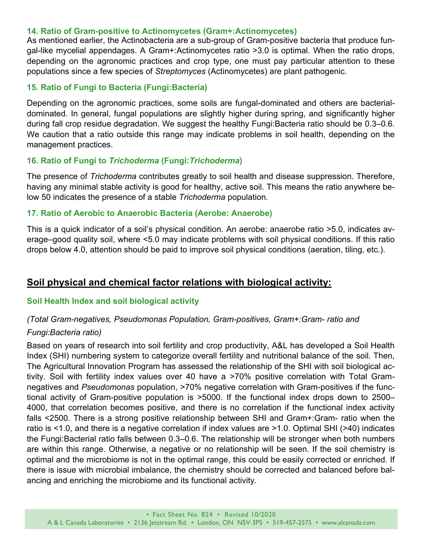#### **14. Ratio of Gram-positive to Actinomycetes (Gram+:Actinomycetes)**

As mentioned earlier, the Actinobacteria are a sub-group of Gram-positive bacteria that produce fungal-like mycelial appendages. A Gram+:Actinomycetes ratio >3.0 is optimal. When the ratio drops, depending on the agronomic practices and crop type, one must pay particular attention to these populations since a few species of *Streptomyces* (Actinomycetes) are plant pathogenic.

#### **15. Ratio of Fungi to Bacteria (Fungi:Bacteria)**

Depending on the agronomic practices, some soils are fungal-dominated and others are bacterialdominated. In general, fungal populations are slightly higher during spring, and significantly higher during fall crop residue degradation. We suggest the healthy Fungi:Bacteria ratio should be 0.3–0.6. We caution that a ratio outside this range may indicate problems in soil health, depending on the management practices.

#### **16. Ratio of Fungi to** *Trichoderma* **(Fungi:***Trichoderma***)**

The presence of *Trichoderma* contributes greatly to soil health and disease suppression. Therefore, having any minimal stable activity is good for healthy, active soil. This means the ratio anywhere below 50 indicates the presence of a stable *Trichoderma* population.

#### **17. Ratio of Aerobic to Anaerobic Bacteria (Aerobe: Anaerobe)**

This is a quick indicator of a soil's physical condition. An aerobe: anaerobe ratio >5.0, indicates average–good quality soil, where <5.0 may indicate problems with soil physical conditions. If this ratio drops below 4.0, attention should be paid to improve soil physical conditions (aeration, tiling, etc.).

## **Soil physical and chemical factor relations with biological activity:**

#### **Soil Health Index and soil biological activity**

#### *(Total Gram-negatives, Pseudomonas Population, Gram-positives, Gram+:Gram- ratio and*

#### *Fungi:Bacteria ratio)*

Based on years of research into soil fertility and crop productivity, A&L has developed a Soil Health Index (SHI) numbering system to categorize overall fertility and nutritional balance of the soil. Then, The Agricultural Innovation Program has assessed the relationship of the SHI with soil biological activity. Soil with fertility index values over 40 have a >70% positive correlation with Total Gramnegatives and *Pseudomonas* population, >70% negative correlation with Gram-positives if the functional activity of Gram-positive population is >5000. If the functional index drops down to 2500– 4000, that correlation becomes positive, and there is no correlation if the functional index activity falls <2500. There is a strong positive relationship between SHI and Gram+:Gram- ratio when the ratio is <1.0, and there is a negative correlation if index values are >1.0. Optimal SHI (>40) indicates the Fungi:Bacterial ratio falls between 0.3–0.6. The relationship will be stronger when both numbers are within this range. Otherwise, a negative or no relationship will be seen. If the soil chemistry is optimal and the microbiome is not in the optimal range, this could be easily corrected or enriched. If there is issue with microbial imbalance, the chemistry should be corrected and balanced before balancing and enriching the microbiome and its functional activity.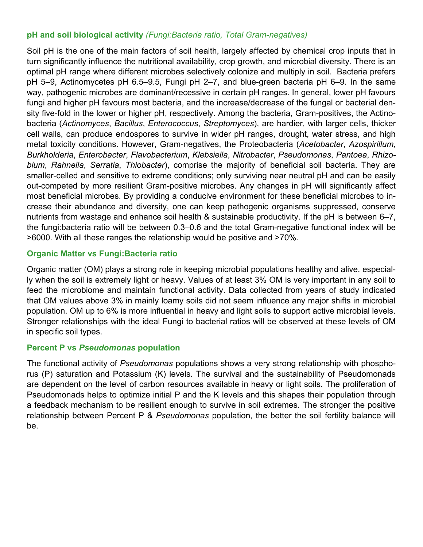#### **pH and soil biological activity** *(Fungi:Bacteria ratio, Total Gram-negatives)*

Soil pH is the one of the main factors of soil health, largely affected by chemical crop inputs that in turn significantly influence the nutritional availability, crop growth, and microbial diversity. There is an optimal pH range where different microbes selectively colonize and multiply in soil. Bacteria prefers pH 5–9, Actinomycetes pH 6.5–9.5, Fungi pH 2–7, and blue-green bacteria pH 6–9. In the same way, pathogenic microbes are dominant/recessive in certain pH ranges. In general, lower pH favours fungi and higher pH favours most bacteria, and the increase/decrease of the fungal or bacterial density five-fold in the lower or higher pH, respectively. Among the bacteria, Gram-positives, the Actinobacteria (*Actinomyces*, *Bacillus*, *Enterococcus*, *Streptomyces*), are hardier, with larger cells, thicker cell walls, can produce endospores to survive in wider pH ranges, drought, water stress, and high metal toxicity conditions. However, Gram-negatives, the Proteobacteria (*Acetobacter*, *Azospirillum*, *Burkholderia*, *Enterobacter*, *Flavobacterium*, *Klebsiella*, *Nitrobacter*, *Pseudomonas*, *Pantoea*, *Rhizobium*, *Rahnella*, *Serratia*, *Thiobacter*), comprise the majority of beneficial soil bacteria. They are smaller-celled and sensitive to extreme conditions; only surviving near neutral pH and can be easily out-competed by more resilient Gram-positive microbes. Any changes in pH will significantly affect most beneficial microbes. By providing a conducive environment for these beneficial microbes to increase their abundance and diversity, one can keep pathogenic organisms suppressed, conserve nutrients from wastage and enhance soil health & sustainable productivity. If the pH is between 6–7, the fungi:bacteria ratio will be between 0.3–0.6 and the total Gram-negative functional index will be >6000. With all these ranges the relationship would be positive and >70%.

#### **Organic Matter vs Fungi:Bacteria ratio**

Organic matter (OM) plays a strong role in keeping microbial populations healthy and alive, especially when the soil is extremely light or heavy. Values of at least 3% OM is very important in any soil to feed the microbiome and maintain functional activity. Data collected from years of study indicated that OM values above 3% in mainly loamy soils did not seem influence any major shifts in microbial population. OM up to 6% is more influential in heavy and light soils to support active microbial levels. Stronger relationships with the ideal Fungi to bacterial ratios will be observed at these levels of OM in specific soil types.

#### **Percent P vs** *Pseudomonas* **population**

The functional activity of *Pseudomonas* populations shows a very strong relationship with phosphorus (P) saturation and Potassium (K) levels. The survival and the sustainability of Pseudomonads are dependent on the level of carbon resources available in heavy or light soils. The proliferation of Pseudomonads helps to optimize initial P and the K levels and this shapes their population through a feedback mechanism to be resilient enough to survive in soil extremes. The stronger the positive relationship between Percent P & *Pseudomonas* population, the better the soil fertility balance will be.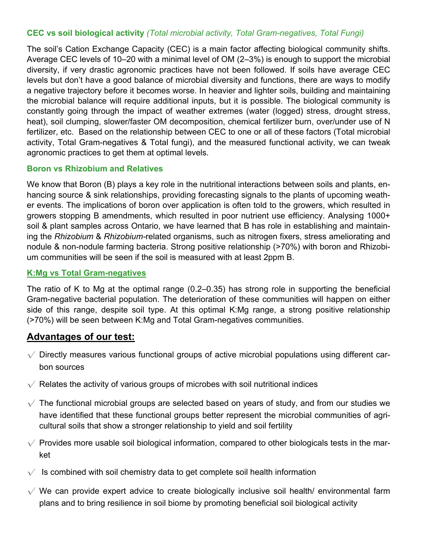#### **CEC vs soil biological activity** *(Total microbial activity, Total Gram-negatives, Total Fungi)*

The soil's Cation Exchange Capacity (CEC) is a main factor affecting biological community shifts. Average CEC levels of 10–20 with a minimal level of OM (2–3%) is enough to support the microbial diversity, if very drastic agronomic practices have not been followed. If soils have average CEC levels but don't have a good balance of microbial diversity and functions, there are ways to modify a negative trajectory before it becomes worse. In heavier and lighter soils, building and maintaining the microbial balance will require additional inputs, but it is possible. The biological community is constantly going through the impact of weather extremes (water (logged) stress, drought stress, heat), soil clumping, slower/faster OM decomposition, chemical fertilizer burn, over/under use of N fertilizer, etc. Based on the relationship between CEC to one or all of these factors (Total microbial activity, Total Gram-negatives & Total fungi), and the measured functional activity, we can tweak agronomic practices to get them at optimal levels.

#### **Boron vs Rhizobium and Relatives**

We know that Boron (B) plays a key role in the nutritional interactions between soils and plants, enhancing source & sink relationships, providing forecasting signals to the plants of upcoming weather events. The implications of boron over application is often told to the growers, which resulted in growers stopping B amendments, which resulted in poor nutrient use efficiency. Analysing 1000+ soil & plant samples across Ontario, we have learned that B has role in establishing and maintaining the *Rhizobium* & *Rhizobium-*related organisms, such as nitrogen fixers, stress ameliorating and nodule & non-nodule farming bacteria. Strong positive relationship (>70%) with boron and Rhizobium communities will be seen if the soil is measured with at least 2ppm B.

#### **K:Mg vs Total Gram-negatives**

The ratio of K to Mg at the optimal range (0.2–0.35) has strong role in supporting the beneficial Gram-negative bacterial population. The deterioration of these communities will happen on either side of this range, despite soil type. At this optimal K:Mg range, a strong positive relationship (>70%) will be seen between K:Mg and Total Gram-negatives communities.

### **Advantages of our test:**

- $\sqrt{\ }$  Directly measures various functional groups of active microbial populations using different carbon sources
- $\sqrt{\ }$  Relates the activity of various groups of microbes with soil nutritional indices
- $\sqrt{\phantom{a}}$  The functional microbial groups are selected based on years of study, and from our studies we have identified that these functional groups better represent the microbial communities of agricultural soils that show a stronger relationship to yield and soil fertility
- $\sqrt{\ }$  Provides more usable soil biological information, compared to other biologicals tests in the market
- $\sqrt{\phantom{a}}$  Is combined with soil chemistry data to get complete soil health information
- $\sqrt{ }$  We can provide expert advice to create biologically inclusive soil health/ environmental farm plans and to bring resilience in soil biome by promoting beneficial soil biological activity